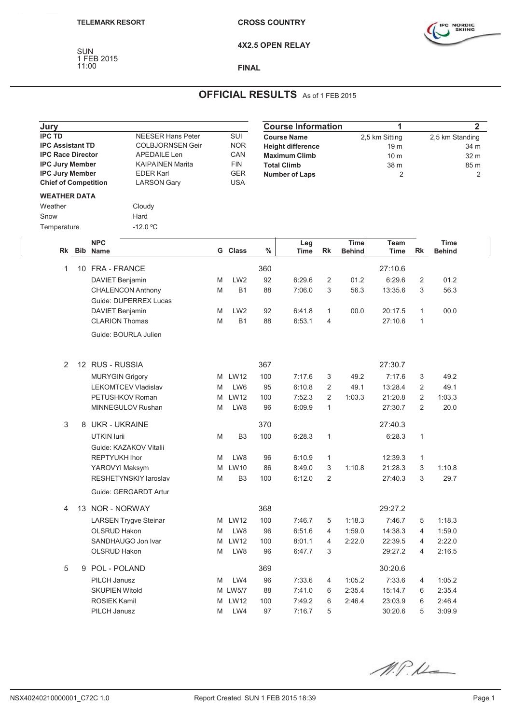SUN 1 FEB 2015



**4X2.5 OPEN RELAY**

## **FINAL**

## **OFFICIAL RESULTS** As of 1 FEB 2015

| Jury                                                                                                                                                                  |  |                        |                              |            |                   | <b>Course Information</b> | 1                        | $\mathbf{2}$   |               |                 |                 |               |      |  |
|-----------------------------------------------------------------------------------------------------------------------------------------------------------------------|--|------------------------|------------------------------|------------|-------------------|---------------------------|--------------------------|----------------|---------------|-----------------|-----------------|---------------|------|--|
| <b>IPC TD</b><br><b>NEESER Hans Peter</b>                                                                                                                             |  |                        |                              | SUI        |                   | <b>Course Name</b>        |                          |                |               | 2,5 km Sitting  | 2,5 km Standing |               |      |  |
| <b>IPC Assistant TD</b>                                                                                                                                               |  |                        | <b>COLBJORNSEN Geir</b>      | <b>NOR</b> |                   |                           | <b>Height difference</b> |                |               | 19 m            | 34 m            |               |      |  |
| <b>IPC Race Director</b><br>APEDAILE Len<br><b>IPC Jury Member</b><br><b>IPC Jury Member</b><br><b>EDER Karl</b><br><b>Chief of Competition</b><br><b>LARSON Gary</b> |  |                        | <b>KAIPAINEN Marita</b>      |            | CAN<br><b>FIN</b> | <b>Maximum Climb</b>      |                          |                |               | 10 <sub>m</sub> |                 |               | 32 m |  |
|                                                                                                                                                                       |  |                        |                              |            |                   |                           | <b>Total Climb</b>       |                |               | 38 m            |                 |               | 85 m |  |
|                                                                                                                                                                       |  |                        |                              |            | <b>GER</b>        | <b>Number of Laps</b>     |                          |                |               | 2               |                 |               | 2    |  |
|                                                                                                                                                                       |  |                        |                              | <b>USA</b> |                   |                           |                          |                |               |                 |                 |               |      |  |
| <b>WEATHER DATA</b>                                                                                                                                                   |  |                        |                              |            |                   |                           |                          |                |               |                 |                 |               |      |  |
| Weather                                                                                                                                                               |  |                        | Cloudy                       |            |                   |                           |                          |                |               |                 |                 |               |      |  |
| Snow                                                                                                                                                                  |  |                        | Hard                         |            |                   |                           |                          |                |               |                 |                 |               |      |  |
| Temperature                                                                                                                                                           |  |                        | $-12.0 °C$                   |            |                   |                           |                          |                |               |                 |                 |               |      |  |
|                                                                                                                                                                       |  |                        |                              |            |                   |                           |                          |                |               |                 |                 |               |      |  |
|                                                                                                                                                                       |  | <b>NPC</b>             |                              |            |                   |                           | Leg                      |                | <b>Time</b>   | Team            |                 | Time          |      |  |
| Rk                                                                                                                                                                    |  | <b>Bib Name</b>        |                              | G          | <b>Class</b>      | $\%$                      | Time                     | Rk             | <b>Behind</b> | <b>Time</b>     | Rk              | <b>Behind</b> |      |  |
| 1                                                                                                                                                                     |  | 10 FRA - FRANCE        |                              |            |                   | 360                       |                          |                |               | 27:10.6         |                 |               |      |  |
|                                                                                                                                                                       |  | DAVIET Benjamin        |                              | M          | LW <sub>2</sub>   | 92                        | 6:29.6                   | 2              | 01.2          | 6:29.6          | $\overline{c}$  | 01.2          |      |  |
|                                                                                                                                                                       |  |                        | <b>CHALENCON Anthony</b>     | M          | <b>B1</b>         | 88                        | 7:06.0                   | 3              | 56.3          | 13:35.6         | 3               | 56.3          |      |  |
|                                                                                                                                                                       |  |                        | Guide: DUPERREX Lucas        |            |                   |                           |                          |                |               |                 |                 |               |      |  |
|                                                                                                                                                                       |  | DAVIET Benjamin        |                              | M          | LW <sub>2</sub>   | 92                        | 6:41.8                   | $\mathbf{1}$   | 00.0          | 20:17.5         | $\mathbf{1}$    | 00.0          |      |  |
|                                                                                                                                                                       |  | <b>CLARION Thomas</b>  |                              | M          | <b>B1</b>         | 88                        | 6:53.1                   | 4              |               | 27:10.6         | 1               |               |      |  |
|                                                                                                                                                                       |  |                        |                              |            |                   |                           |                          |                |               |                 |                 |               |      |  |
|                                                                                                                                                                       |  |                        | Guide: BOURLA Julien         |            |                   |                           |                          |                |               |                 |                 |               |      |  |
|                                                                                                                                                                       |  |                        |                              |            |                   |                           |                          |                |               |                 |                 |               |      |  |
|                                                                                                                                                                       |  |                        |                              |            |                   |                           |                          |                |               |                 |                 |               |      |  |
| 2                                                                                                                                                                     |  | 12 RUS - RUSSIA        |                              |            |                   | 367                       |                          |                |               | 27:30.7         |                 |               |      |  |
|                                                                                                                                                                       |  | <b>MURYGIN Grigory</b> |                              | M          | <b>LW12</b>       | 100                       | 7:17.6                   | 3              | 49.2          | 7:17.6          | 3               | 49.2          |      |  |
|                                                                                                                                                                       |  |                        | <b>LEKOMTCEV Vladislav</b>   | M          | LW6               | 95                        | 6:10.8                   | 2              | 49.1          | 13:28.4         | 2               | 49.1          |      |  |
|                                                                                                                                                                       |  |                        | PETUSHKOV Roman              | M          | <b>LW12</b>       | 100                       | 7:52.3                   | $\overline{2}$ | 1:03.3        | 21:20.8         | $\overline{2}$  | 1:03.3        |      |  |
|                                                                                                                                                                       |  |                        | MINNEGULOV Rushan            | M          | LW8               | 96                        | 6:09.9                   | $\mathbf{1}$   |               | 27:30.7         | 2               | 20.0          |      |  |
|                                                                                                                                                                       |  |                        |                              |            |                   |                           |                          |                |               |                 |                 |               |      |  |
| 3                                                                                                                                                                     |  | 8 UKR - UKRAINE        |                              |            |                   | 370                       |                          |                |               | 27:40.3         |                 |               |      |  |
|                                                                                                                                                                       |  | UTKIN lurii            |                              | M          | B <sub>3</sub>    | 100                       | 6:28.3                   | $\mathbf{1}$   |               | 6:28.3          | $\mathbf{1}$    |               |      |  |
|                                                                                                                                                                       |  |                        | Guide: KAZAKOV Vitalii       |            |                   |                           |                          |                |               |                 |                 |               |      |  |
|                                                                                                                                                                       |  | <b>REPTYUKH Ihor</b>   |                              | M          | LW8               | 96                        | 6:10.9                   | $\mathbf{1}$   |               | 12:39.3         | $\mathbf{1}$    |               |      |  |
|                                                                                                                                                                       |  | YAROVYI Maksym         |                              | M          | LW10              | 86                        | 8:49.0                   | 3              | 1:10.8        | 21:28.3         | 3               | 1:10.8        |      |  |
|                                                                                                                                                                       |  |                        | RESHETYNSKIY laroslav        | M          | B <sub>3</sub>    | 100                       | 6:12.0                   | $\overline{2}$ |               | 27:40.3         | 3               | 29.7          |      |  |
|                                                                                                                                                                       |  |                        | Guide: GERGARDT Artur        |            |                   |                           |                          |                |               |                 |                 |               |      |  |
| 4                                                                                                                                                                     |  | 13 NOR - NORWAY        |                              |            |                   | 368                       |                          |                |               | 29:27.2         |                 |               |      |  |
|                                                                                                                                                                       |  |                        |                              |            |                   |                           |                          |                |               |                 |                 |               |      |  |
|                                                                                                                                                                       |  |                        | <b>LARSEN Trygve Steinar</b> |            | M LW12            | 100                       | 7:46.7                   | 5              | 1:18.3        | 7:46.7          | 5               | 1:18.3        |      |  |
|                                                                                                                                                                       |  | OLSRUD Hakon           |                              | M          | LW8               | 96                        | 6:51.6                   | 4              | 1:59.0        | 14:38.3         | 4               | 1:59.0        |      |  |
|                                                                                                                                                                       |  |                        | SANDHAUGO Jon Ivar           | M          | <b>LW12</b>       | 100                       | 8:01.1                   | 4              | 2:22.0        | 22:39.5         | 4               | 2:22.0        |      |  |
|                                                                                                                                                                       |  | OLSRUD Hakon           |                              | M          | LW8               | 96                        | 6:47.7                   | 3              |               | 29:27.2         | 4               | 2:16.5        |      |  |
| 5                                                                                                                                                                     |  | 9 POL - POLAND         |                              |            |                   | 369                       |                          |                |               | 30:20.6         |                 |               |      |  |
|                                                                                                                                                                       |  | PILCH Janusz           |                              | M          | LW4               | 96                        | 7:33.6                   | 4              | 1:05.2        | 7:33.6          | 4               | 1:05.2        |      |  |
|                                                                                                                                                                       |  | <b>SKUPIEN Witold</b>  |                              |            | M LW5/7           | 88                        | 7:41.0                   | 6              | 2:35.4        | 15:14.7         | 6               | 2:35.4        |      |  |
|                                                                                                                                                                       |  | <b>ROSIEK Kamil</b>    |                              | M          | <b>LW12</b>       | 100                       | 7:49.2                   | 6              | 2:46.4        | 23:03.9         | 6               | 2:46.4        |      |  |
|                                                                                                                                                                       |  | PILCH Janusz           |                              | M          | LW4               | 97                        | 7:16.7                   | 5              |               | 30:20.6         | 5               | 3:09.9        |      |  |
|                                                                                                                                                                       |  |                        |                              |            |                   |                           |                          |                |               |                 |                 |               |      |  |

M.P.K